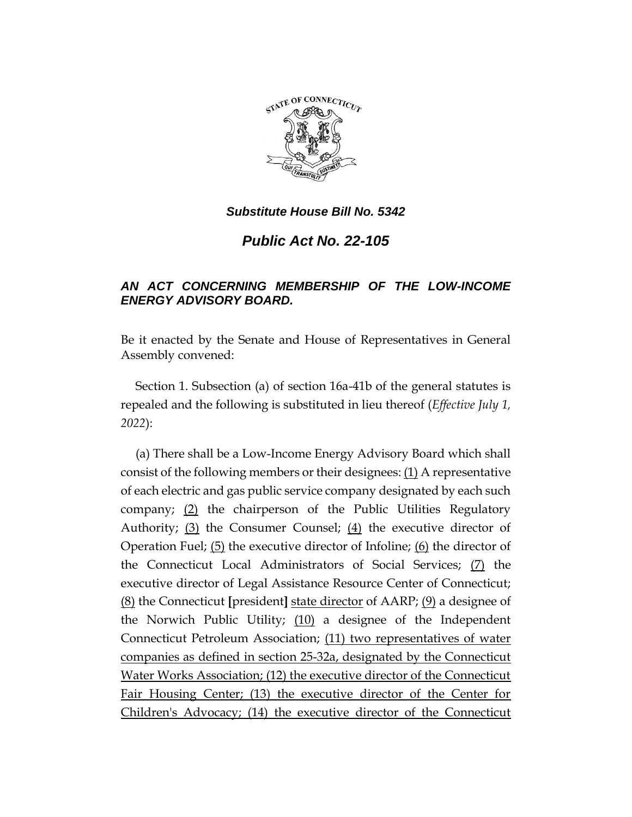

## *Substitute House Bill No. 5342*

## *Public Act No. 22-105*

## *AN ACT CONCERNING MEMBERSHIP OF THE LOW-INCOME ENERGY ADVISORY BOARD.*

Be it enacted by the Senate and House of Representatives in General Assembly convened:

Section 1. Subsection (a) of section 16a-41b of the general statutes is repealed and the following is substituted in lieu thereof (*Effective July 1, 2022*):

(a) There shall be a Low-Income Energy Advisory Board which shall consist of the following members or their designees: (1) A representative of each electric and gas public service company designated by each such company; (2) the chairperson of the Public Utilities Regulatory Authority; (3) the Consumer Counsel; (4) the executive director of Operation Fuel;  $(5)$  the executive director of Infoline;  $(6)$  the director of the Connecticut Local Administrators of Social Services; (7) the executive director of Legal Assistance Resource Center of Connecticut; (8) the Connecticut **[**president**]** state director of AARP; (9) a designee of the Norwich Public Utility; (10) a designee of the Independent Connecticut Petroleum Association; (11) two representatives of water companies as defined in section 25-32a, designated by the Connecticut Water Works Association; (12) the executive director of the Connecticut Fair Housing Center; (13) the executive director of the Center for Children's Advocacy; (14) the executive director of the Connecticut